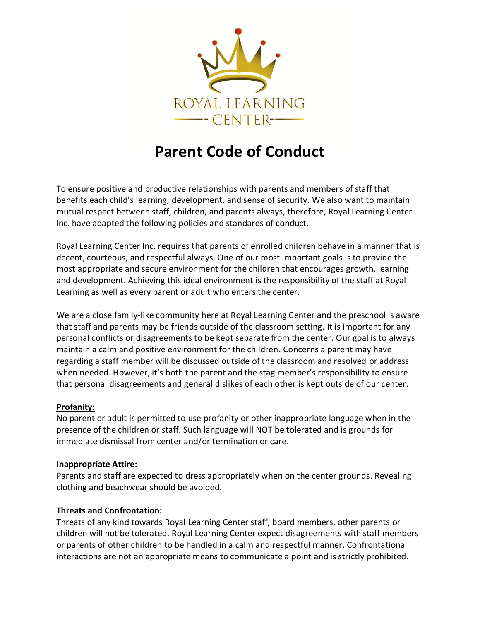

## **Parent Code of Conduct**

To ensure positive and productive relationships with parents and members of staff that benefits each child's learning, development, and sense of security. We also want to maintain mutual respect between staff, children, and parents always, therefore, Royal Learning Center Inc. have adapted the following policies and standards of conduct.

Royal Learning Center Inc. requires that parents of enrolled children behave in a manner that is decent, courteous, and respectful always. One of our most important goals is to provide the most appropriate and secure environment for the children that encourages growth, learning and development. Achieving this ideal environment is the responsibility of the staff at Royal Learning as well as every parent or adult who enters the center.

We are a close family-like community here at Royal Learning Center and the preschool is aware that staff and parents may be friends outside of the classroom setting. It is important for any personal conflicts or disagreements to be kept separate from the center. Our goal is to always maintain a calm and positive environment for the children. Concerns a parent may have regarding a staff member will be discussed outside of the classroom and resolved or address when needed. However, it's both the parent and the stag member's responsibility to ensure that personal disagreements and general dislikes of each other is kept outside of our center.

## **Profanity:**

No parent or adult is permitted to use profanity or other inappropriate language when in the presence of the children or staff. Such language will NOT be tolerated and is grounds for immediate dismissal from center and/or termination or care.

## **Inappropriate Attire:**

Parents and staff are expected to dress appropriately when on the center grounds. Revealing clothing and beachwear should be avoided.

## **Threats and Confrontation:**

Threats of any kind towards Royal Learning Center staff, board members, other parents or children will not be tolerated. Royal Learning Center expect disagreements with staff members or parents of other children to be handled in a calm and respectful manner. Confrontational interactions are not an appropriate means to communicate a point and is strictly prohibited.